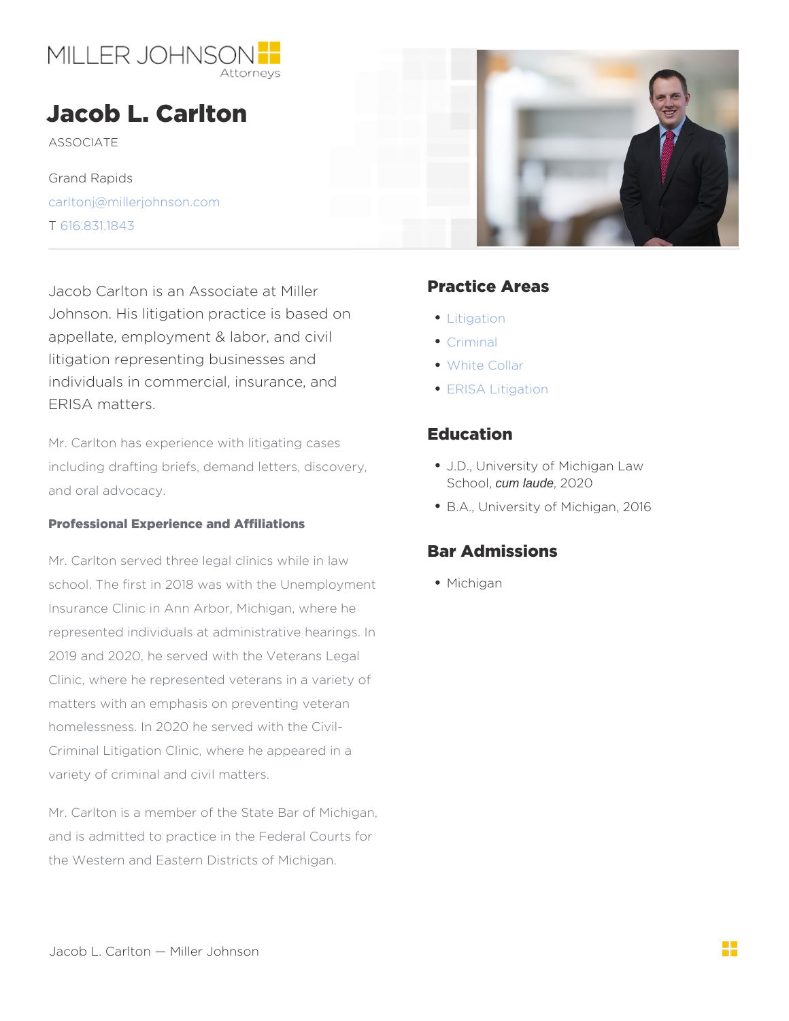## Jacob L. Carlton

**ASSOCIATE** 

Grand Rapids [carltonj@millerjohn](mailto:carltonj@millerjohnson.com)son.com T [616.831.](/var/www/html/tel:616.831.1843 )1843

Jacob Carlton is an Associate at Mill Bractice Areas Johnson. His litigation practice is basedtion appellate, employment & labor, and civil iminal litigation representing businesses and white Collar individuals in commercial, insurance,.and SA Litigation ERISA matters.

Mr. Carlton has experience with litigating cases ation including drafting briefs, demand letters, discDverlyniversity of Michigan Law and oral advocacy. Schoodm laude, 2020 B.A., University of Michigan, 2016

Professional Experience and Affiliations

Mr. Carlton served three legal clinics while in law Bar Admissions school. The first in 2018 was with the Unemp $M$  boy higean Insurance Clinic in Ann Arbor, Michigan, where he represented individuals at administrative hearings. In 2019 and 2020, he served with the Veterans Legal Clinic, where he represented veterans in a variety of matters with an emphasis on preventing veteran homelessness. In 2020 he served with the Civil- Criminal Litigation Clinic, where he appeared in a variety of criminal and civil matters.

Mr. Carlton is a member of the State Bar of Michigan, and is admitted to practice in the Federal Courts for the Western and Eastern Districts of Michigan.

Jacob L. Carlton Miller Johnson